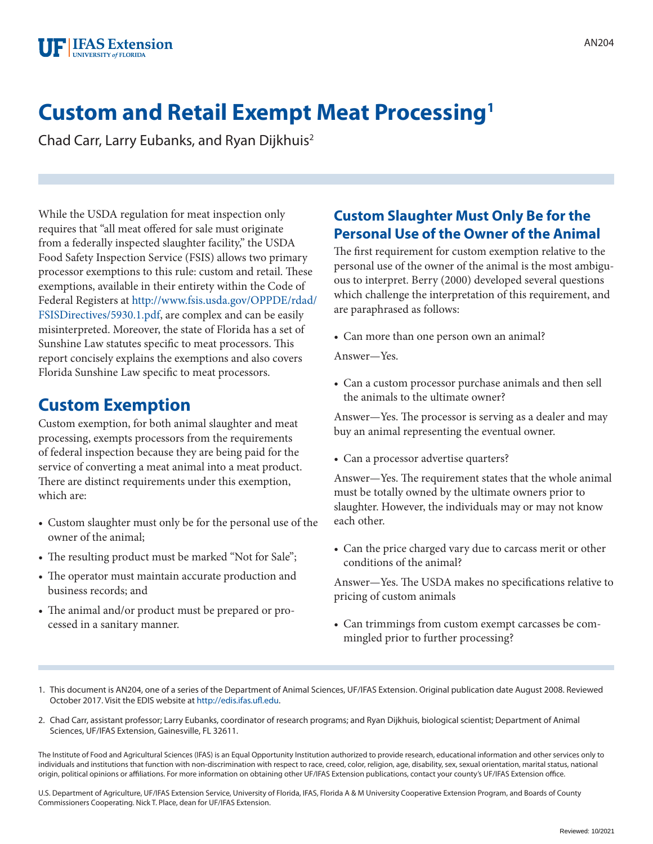

# **Custom and Retail Exempt Meat Processing1**

Chad Carr, Larry Eubanks, and Ryan Dijkhuis2

While the USDA regulation for meat inspection only requires that "all meat offered for sale must originate from a federally inspected slaughter facility," the USDA Food Safety Inspection Service (FSIS) allows two primary processor exemptions to this rule: custom and retail. These exemptions, available in their entirety within the Code of Federal Registers at [http://www.fsis.usda.gov/OPPDE/rdad/](http://www.access.gpo.gov/nara/cfr/waisidx_07/9cfr303_07.html) [FSISDirectives/5930.1.pdf](http://www.access.gpo.gov/nara/cfr/waisidx_07/9cfr303_07.html), are complex and can be easily misinterpreted. Moreover, the state of Florida has a set of Sunshine Law statutes specific to meat processors. This report concisely explains the exemptions and also covers Florida Sunshine Law specific to meat processors.

### **Custom Exemption**

Custom exemption, for both animal slaughter and meat processing, exempts processors from the requirements of federal inspection because they are being paid for the service of converting a meat animal into a meat product. There are distinct requirements under this exemption, which are:

- Custom slaughter must only be for the personal use of the owner of the animal;
- The resulting product must be marked "Not for Sale";
- The operator must maintain accurate production and business records; and
- The animal and/or product must be prepared or processed in a sanitary manner.

#### **Custom Slaughter Must Only Be for the Personal Use of the Owner of the Animal**

The first requirement for custom exemption relative to the personal use of the owner of the animal is the most ambiguous to interpret. Berry (2000) developed several questions which challenge the interpretation of this requirement, and are paraphrased as follows:

• Can more than one person own an animal?

Answer—Yes.

• Can a custom processor purchase animals and then sell the animals to the ultimate owner?

Answer—Yes. The processor is serving as a dealer and may buy an animal representing the eventual owner.

• Can a processor advertise quarters?

Answer—Yes. The requirement states that the whole animal must be totally owned by the ultimate owners prior to slaughter. However, the individuals may or may not know each other.

• Can the price charged vary due to carcass merit or other conditions of the animal?

Answer—Yes. The USDA makes no specifications relative to pricing of custom animals

- Can trimmings from custom exempt carcasses be commingled prior to further processing?
- 1. This document is AN204, one of a series of the Department of Animal Sciences, UF/IFAS Extension. Original publication date August 2008. Reviewed October 2017. Visit the EDIS website at <http://edis.ifas.ufl.edu>.
- 2. Chad Carr, assistant professor; Larry Eubanks, coordinator of research programs; and Ryan Dijkhuis, biological scientist; Department of Animal Sciences, UF/IFAS Extension, Gainesville, FL 32611.

The Institute of Food and Agricultural Sciences (IFAS) is an Equal Opportunity Institution authorized to provide research, educational information and other services only to individuals and institutions that function with non-discrimination with respect to race, creed, color, religion, age, disability, sex, sexual orientation, marital status, national origin, political opinions or affiliations. For more information on obtaining other UF/IFAS Extension publications, contact your county's UF/IFAS Extension office.

U.S. Department of Agriculture, UF/IFAS Extension Service, University of Florida, IFAS, Florida A & M University Cooperative Extension Program, and Boards of County Commissioners Cooperating. Nick T. Place, dean for UF/IFAS Extension.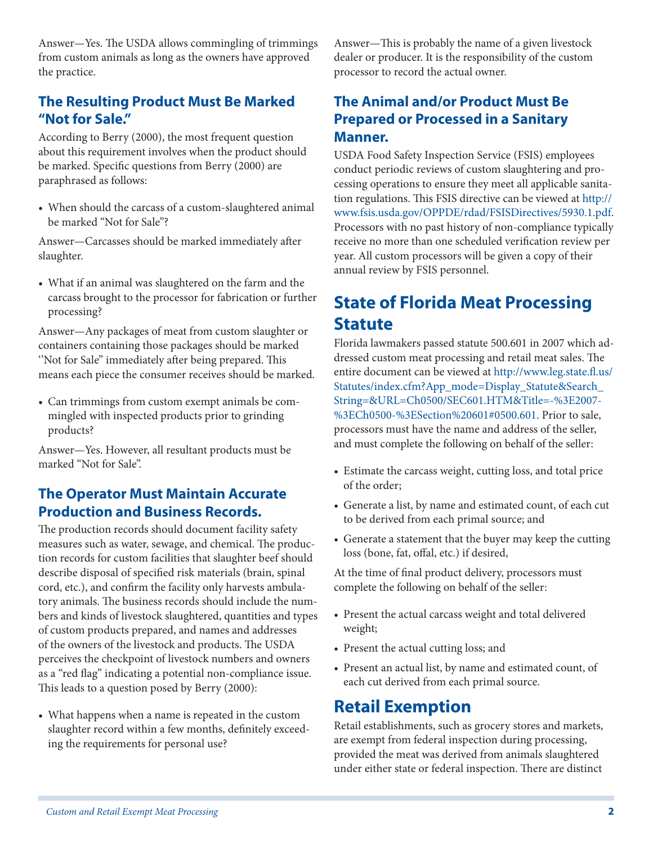Answer—Yes. The USDA allows commingling of trimmings from custom animals as long as the owners have approved the practice.

#### **The Resulting Product Must Be Marked "Not for Sale."**

According to Berry (2000), the most frequent question about this requirement involves when the product should be marked. Specific questions from Berry (2000) are paraphrased as follows:

• When should the carcass of a custom-slaughtered animal be marked "Not for Sale"?

Answer—Carcasses should be marked immediately after slaughter.

• What if an animal was slaughtered on the farm and the carcass brought to the processor for fabrication or further processing?

Answer—Any packages of meat from custom slaughter or containers containing those packages should be marked "Not for Sale" immediately after being prepared. This means each piece the consumer receives should be marked.

• Can trimmings from custom exempt animals be commingled with inspected products prior to grinding products?

Answer—Yes. However, all resultant products must be marked "Not for Sale".

#### **The Operator Must Maintain Accurate Production and Business Records.**

The production records should document facility safety measures such as water, sewage, and chemical. The production records for custom facilities that slaughter beef should describe disposal of specified risk materials (brain, spinal cord, etc.), and confirm the facility only harvests ambulatory animals. The business records should include the numbers and kinds of livestock slaughtered, quantities and types of custom products prepared, and names and addresses of the owners of the livestock and products. The USDA perceives the checkpoint of livestock numbers and owners as a "red flag" indicating a potential non-compliance issue. This leads to a question posed by Berry (2000):

• What happens when a name is repeated in the custom slaughter record within a few months, definitely exceeding the requirements for personal use?

Answer—This is probably the name of a given livestock dealer or producer. It is the responsibility of the custom processor to record the actual owner.

#### **The Animal and/or Product Must Be Prepared or Processed in a Sanitary Manner.**

USDA Food Safety Inspection Service (FSIS) employees conduct periodic reviews of custom slaughtering and processing operations to ensure they meet all applicable sanitation regulations. This FSIS directive can be viewed at [http://](http://www.fsis.usda.gov/OPPDE/rdad/FSISDirectives/5930.1.pdf) [www.fsis.usda.gov/OPPDE/rdad/FSISDirectives/5930.1.pdf](http://www.fsis.usda.gov/OPPDE/rdad/FSISDirectives/5930.1.pdf). Processors with no past history of non-compliance typically receive no more than one scheduled verification review per year. All custom processors will be given a copy of their annual review by FSIS personnel.

## **State of Florida Meat Processing Statute**

Florida lawmakers passed statute 500.601 in 2007 which addressed custom meat processing and retail meat sales. The entire document can be viewed at [http://www.leg.state.fl.us/](http://www.leg.state.fl.us/Statutes/index.cfm?App_mode=Display_Statute&Search_String=&URL=Ch0500/SEC601.HTM&Title=-%3E2007-%3ECh0500-%3ESection%20601#0500.601) [Statutes/index.cfm?App\\_mode=Display\\_Statute&Search\\_](http://www.leg.state.fl.us/Statutes/index.cfm?App_mode=Display_Statute&Search_String=&URL=Ch0500/SEC601.HTM&Title=-%3E2007-%3ECh0500-%3ESection%20601#0500.601) [String=&URL=Ch0500/SEC601.HTM&Title=-%3E2007-](http://www.leg.state.fl.us/Statutes/index.cfm?App_mode=Display_Statute&Search_String=&URL=Ch0500/SEC601.HTM&Title=-%3E2007-%3ECh0500-%3ESection%20601#0500.601) [%3ECh0500-%3ESection%20601#0500.601](http://www.leg.state.fl.us/Statutes/index.cfm?App_mode=Display_Statute&Search_String=&URL=Ch0500/SEC601.HTM&Title=-%3E2007-%3ECh0500-%3ESection%20601#0500.601). Prior to sale, processors must have the name and address of the seller, and must complete the following on behalf of the seller:

- Estimate the carcass weight, cutting loss, and total price of the order;
- Generate a list, by name and estimated count, of each cut to be derived from each primal source; and
- Generate a statement that the buyer may keep the cutting loss (bone, fat, offal, etc.) if desired,

At the time of final product delivery, processors must complete the following on behalf of the seller:

- Present the actual carcass weight and total delivered weight;
- Present the actual cutting loss; and
- Present an actual list, by name and estimated count, of each cut derived from each primal source.

## **Retail Exemption**

Retail establishments, such as grocery stores and markets, are exempt from federal inspection during processing, provided the meat was derived from animals slaughtered under either state or federal inspection. There are distinct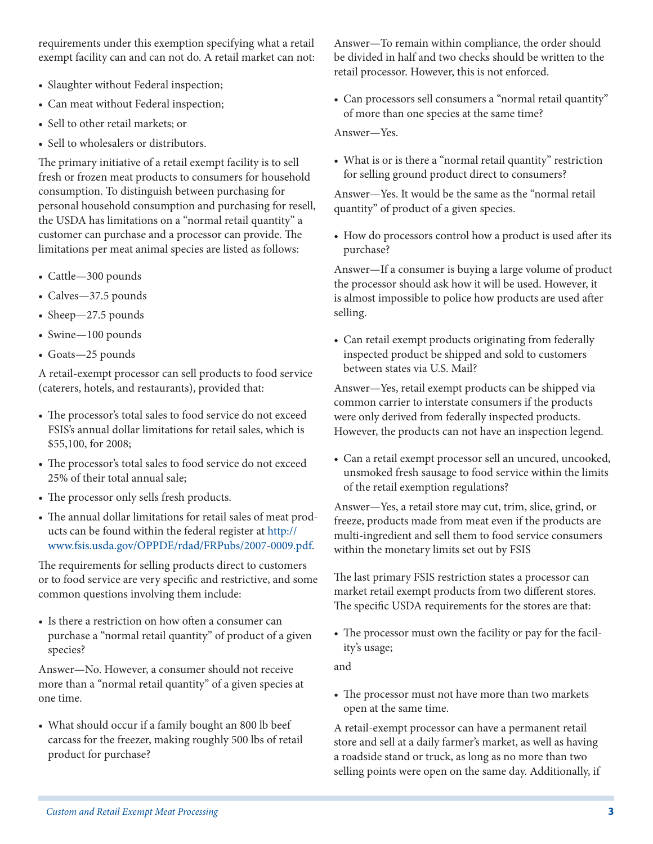requirements under this exemption specifying what a retail exempt facility can and can not do. A retail market can not:

- Slaughter without Federal inspection;
- Can meat without Federal inspection;
- Sell to other retail markets; or
- Sell to wholesalers or distributors.

The primary initiative of a retail exempt facility is to sell fresh or frozen meat products to consumers for household consumption. To distinguish between purchasing for personal household consumption and purchasing for resell, the USDA has limitations on a "normal retail quantity" a customer can purchase and a processor can provide. The limitations per meat animal species are listed as follows:

- Cattle—300 pounds
- Calves—37.5 pounds
- Sheep—27.5 pounds
- Swine—100 pounds
- Goats—25 pounds

A retail-exempt processor can sell products to food service (caterers, hotels, and restaurants), provided that:

- The processor's total sales to food service do not exceed FSIS's annual dollar limitations for retail sales, which is \$55,100, for 2008;
- The processor's total sales to food service do not exceed 25% of their total annual sale;
- The processor only sells fresh products.
- The annual dollar limitations for retail sales of meat products can be found within the federal register at [http://](http://www.fsis.usda.gov/OPPDE/rdad/FRPubs/2007-0009.pdf) [www.fsis.usda.gov/OPPDE/rdad/FRPubs/2007-0009.pdf](http://www.fsis.usda.gov/OPPDE/rdad/FRPubs/2007-0009.pdf).

The requirements for selling products direct to customers or to food service are very specific and restrictive, and some common questions involving them include:

• Is there a restriction on how often a consumer can purchase a "normal retail quantity" of product of a given species?

Answer—No. However, a consumer should not receive more than a "normal retail quantity" of a given species at one time.

• What should occur if a family bought an 800 lb beef carcass for the freezer, making roughly 500 lbs of retail product for purchase?

Answer—To remain within compliance, the order should be divided in half and two checks should be written to the retail processor. However, this is not enforced.

• Can processors sell consumers a "normal retail quantity" of more than one species at the same time?

Answer—Yes.

• What is or is there a "normal retail quantity" restriction for selling ground product direct to consumers?

Answer—Yes. It would be the same as the "normal retail quantity" of product of a given species.

• How do processors control how a product is used after its purchase?

Answer—If a consumer is buying a large volume of product the processor should ask how it will be used. However, it is almost impossible to police how products are used after selling.

• Can retail exempt products originating from federally inspected product be shipped and sold to customers between states via U.S. Mail?

Answer—Yes, retail exempt products can be shipped via common carrier to interstate consumers if the products were only derived from federally inspected products. However, the products can not have an inspection legend.

• Can a retail exempt processor sell an uncured, uncooked, unsmoked fresh sausage to food service within the limits of the retail exemption regulations?

Answer—Yes, a retail store may cut, trim, slice, grind, or freeze, products made from meat even if the products are multi-ingredient and sell them to food service consumers within the monetary limits set out by FSIS

The last primary FSIS restriction states a processor can market retail exempt products from two different stores. The specific USDA requirements for the stores are that:

• The processor must own the facility or pay for the facility's usage;

and

• The processor must not have more than two markets open at the same time.

A retail-exempt processor can have a permanent retail store and sell at a daily farmer's market, as well as having a roadside stand or truck, as long as no more than two selling points were open on the same day. Additionally, if